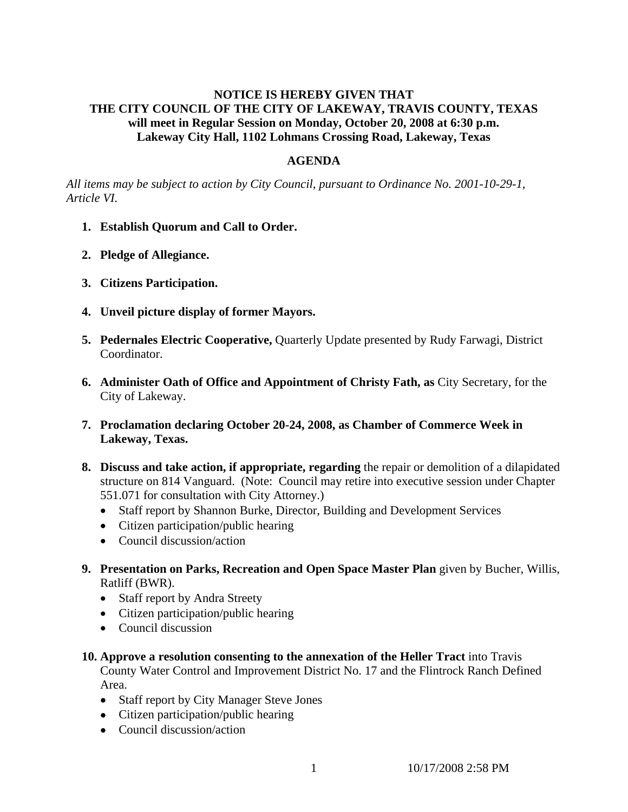## **NOTICE IS HEREBY GIVEN THAT THE CITY COUNCIL OF THE CITY OF LAKEWAY, TRAVIS COUNTY, TEXAS will meet in Regular Session on Monday, October 20, 2008 at 6:30 p.m. Lakeway City Hall, 1102 Lohmans Crossing Road, Lakeway, Texas**

#### **AGENDA**

*All items may be subject to action by City Council, pursuant to Ordinance No. 2001-10-29-1, Article VI.* 

- **1. Establish Quorum and Call to Order.**
- **2. Pledge of Allegiance.**
- **3. Citizens Participation.**
- **4. Unveil picture display of former Mayors.**
- **5. Pedernales Electric Cooperative,** Quarterly Update presented by Rudy Farwagi, District Coordinator.
- **6. Administer Oath of Office and Appointment of Christy Fath, as** City Secretary, for the City of Lakeway.
- **7. Proclamation declaring October 20-24, 2008, as Chamber of Commerce Week in Lakeway, Texas.**
- **8. Discuss and take action, if appropriate, regarding** the repair or demolition of a dilapidated structure on 814 Vanguard. (Note: Council may retire into executive session under Chapter 551.071 for consultation with City Attorney.)
	- Staff report by Shannon Burke, Director, Building and Development Services
	- Citizen participation/public hearing
	- Council discussion/action
- **9. Presentation on Parks, Recreation and Open Space Master Plan** given by Bucher, Willis, Ratliff (BWR).
	- Staff report by Andra Streety
	- Citizen participation/public hearing
	- Council discussion
- **10. Approve a resolution consenting to the annexation of the Heller Tract** into Travis County Water Control and Improvement District No. 17 and the Flintrock Ranch Defined Area.
	- Staff report by City Manager Steve Jones
	- Citizen participation/public hearing
	- Council discussion/action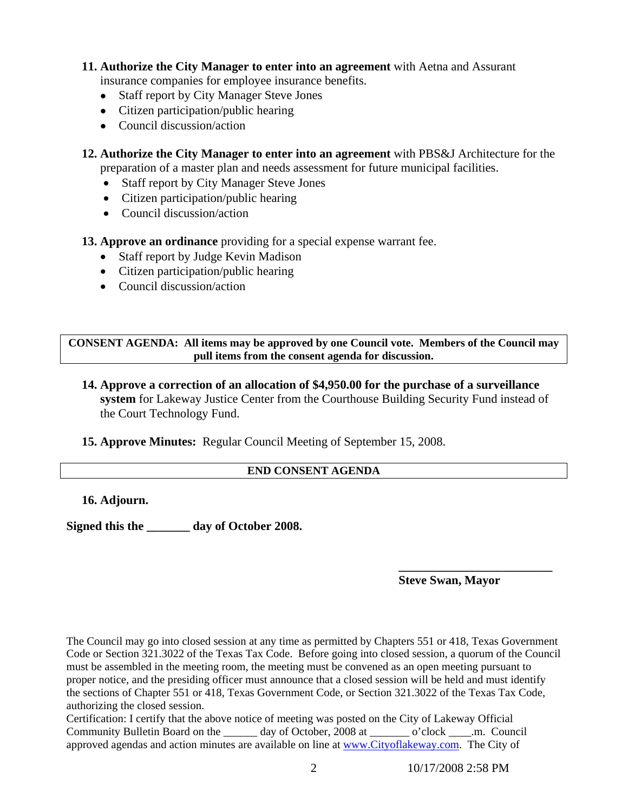# **11. Authorize the City Manager to enter into an agreement** with Aetna and Assurant

- insurance companies for employee insurance benefits.
- Staff report by City Manager Steve Jones
- Citizen participation/public hearing
- Council discussion/action

**12. Authorize the City Manager to enter into an agreement** with PBS&J Architecture for the preparation of a master plan and needs assessment for future municipal facilities.

- Staff report by City Manager Steve Jones
- Citizen participation/public hearing
- Council discussion/action

**13. Approve an ordinance** providing for a special expense warrant fee.

- Staff report by Judge Kevin Madison
- Citizen participation/public hearing
- Council discussion/action

**CONSENT AGENDA: All items may be approved by one Council vote. Members of the Council may pull items from the consent agenda for discussion.** 

**14. Approve a correction of an allocation of \$4,950.00 for the purchase of a surveillance system** for Lakeway Justice Center from the Courthouse Building Security Fund instead of the Court Technology Fund.

**15. Approve Minutes:** Regular Council Meeting of September 15, 2008.

## **END CONSENT AGENDA**

 **\_\_\_\_\_\_\_\_\_\_\_\_\_\_\_\_\_\_\_\_\_\_\_\_\_**

**16. Adjourn.** 

**Signed this the \_\_\_\_\_\_\_ day of October 2008.** 

## **Steve Swan, Mayor**

The Council may go into closed session at any time as permitted by Chapters 551 or 418, Texas Government Code or Section 321.3022 of the Texas Tax Code. Before going into closed session, a quorum of the Council must be assembled in the meeting room, the meeting must be convened as an open meeting pursuant to proper notice, and the presiding officer must announce that a closed session will be held and must identify the sections of Chapter 551 or 418, Texas Government Code, or Section 321.3022 of the Texas Tax Code, authorizing the closed session.

Certification: I certify that the above notice of meeting was posted on the City of Lakeway Official Community Bulletin Board on the \_\_\_\_\_\_ day of October, 2008 at \_\_\_\_\_\_\_ o'clock \_\_\_\_.m. Council approved agendas and action minutes are available on line at www.Cityoflakeway.com. The City of